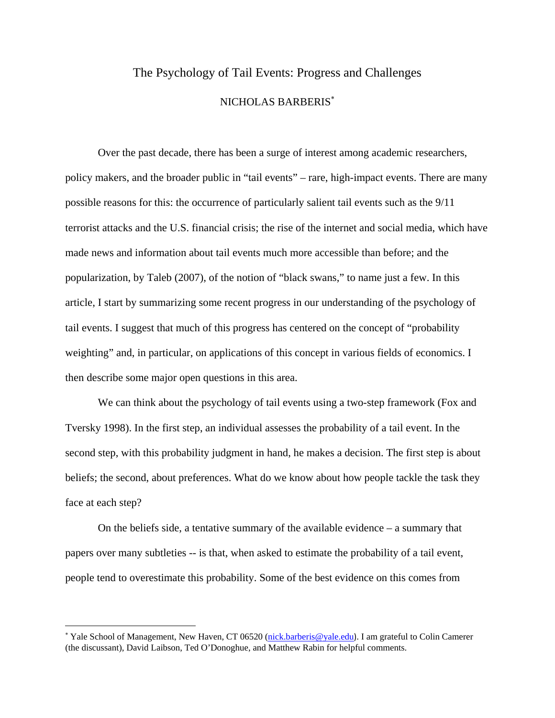# The Psychology of Tail Events: Progress and Challenges

### NICHOLAS BARBERIS<sup>∗</sup>

Over the past decade, there has been a surge of interest among academic researchers, policy makers, and the broader public in "tail events" – rare, high-impact events. There are many possible reasons for this: the occurrence of particularly salient tail events such as the 9/11 terrorist attacks and the U.S. financial crisis; the rise of the internet and social media, which have made news and information about tail events much more accessible than before; and the popularization, by Taleb (2007), of the notion of "black swans," to name just a few. In this article, I start by summarizing some recent progress in our understanding of the psychology of tail events. I suggest that much of this progress has centered on the concept of "probability weighting" and, in particular, on applications of this concept in various fields of economics. I then describe some major open questions in this area.

We can think about the psychology of tail events using a two-step framework (Fox and Tversky 1998). In the first step, an individual assesses the probability of a tail event. In the second step, with this probability judgment in hand, he makes a decision. The first step is about beliefs; the second, about preferences. What do we know about how people tackle the task they face at each step?

On the beliefs side, a tentative summary of the available evidence – a summary that papers over many subtleties -- is that, when asked to estimate the probability of a tail event, people tend to overestimate this probability. Some of the best evidence on this comes from

<sup>∗</sup> Yale School of Management, New Haven, CT 06520 (nick.barberis@yale.edu). I am grateful to Colin Camerer (the discussant), David Laibson, Ted O'Donoghue, and Matthew Rabin for helpful comments.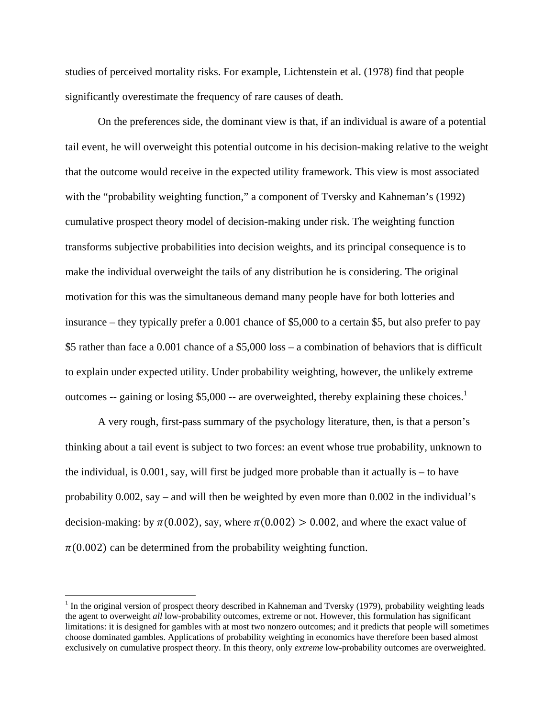studies of perceived mortality risks. For example, Lichtenstein et al. (1978) find that people significantly overestimate the frequency of rare causes of death.

On the preferences side, the dominant view is that, if an individual is aware of a potential tail event, he will overweight this potential outcome in his decision-making relative to the weight that the outcome would receive in the expected utility framework. This view is most associated with the "probability weighting function," a component of Tversky and Kahneman's (1992) cumulative prospect theory model of decision-making under risk. The weighting function transforms subjective probabilities into decision weights, and its principal consequence is to make the individual overweight the tails of any distribution he is considering. The original motivation for this was the simultaneous demand many people have for both lotteries and insurance – they typically prefer a 0.001 chance of \$5,000 to a certain \$5, but also prefer to pay \$5 rather than face a 0.001 chance of a \$5,000 loss – a combination of behaviors that is difficult to explain under expected utility. Under probability weighting, however, the unlikely extreme outcomes -- gaining or losing \$5,000 -- are overweighted, thereby explaining these choices.<sup>1</sup>

A very rough, first-pass summary of the psychology literature, then, is that a person's thinking about a tail event is subject to two forces: an event whose true probability, unknown to the individual, is 0.001, say, will first be judged more probable than it actually is – to have probability 0.002, say – and will then be weighted by even more than 0.002 in the individual's decision-making: by  $\pi(0.002)$ , say, where  $\pi(0.002) > 0.002$ , and where the exact value of  $\pi(0.002)$  can be determined from the probability weighting function.

 $1$  In the original version of prospect theory described in Kahneman and Tversky (1979), probability weighting leads the agent to overweight *all* low-probability outcomes, extreme or not. However, this formulation has significant limitations: it is designed for gambles with at most two nonzero outcomes; and it predicts that people will sometimes choose dominated gambles. Applications of probability weighting in economics have therefore been based almost exclusively on cumulative prospect theory. In this theory, only *extreme* low-probability outcomes are overweighted.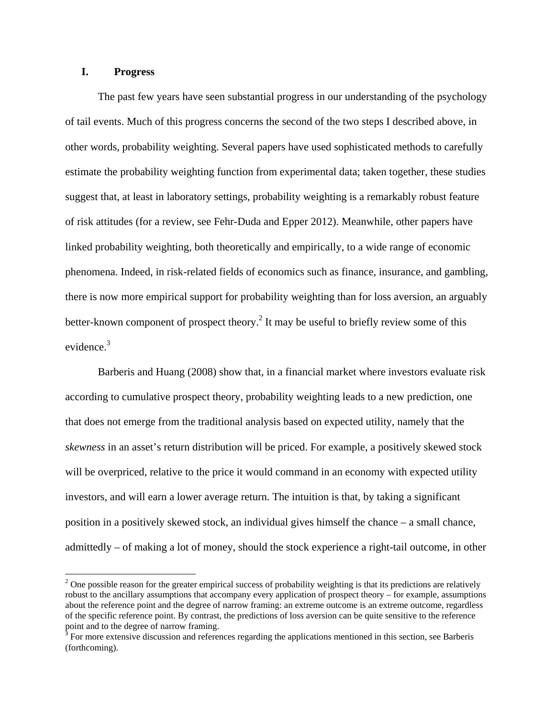## **I. Progress**

The past few years have seen substantial progress in our understanding of the psychology of tail events. Much of this progress concerns the second of the two steps I described above, in other words, probability weighting. Several papers have used sophisticated methods to carefully estimate the probability weighting function from experimental data; taken together, these studies suggest that, at least in laboratory settings, probability weighting is a remarkably robust feature of risk attitudes (for a review, see Fehr-Duda and Epper 2012). Meanwhile, other papers have linked probability weighting, both theoretically and empirically, to a wide range of economic phenomena. Indeed, in risk-related fields of economics such as finance, insurance, and gambling, there is now more empirical support for probability weighting than for loss aversion, an arguably better-known component of prospect theory.<sup>2</sup> It may be useful to briefly review some of this evidence.<sup>3</sup>

Barberis and Huang (2008) show that, in a financial market where investors evaluate risk according to cumulative prospect theory, probability weighting leads to a new prediction, one that does not emerge from the traditional analysis based on expected utility, namely that the *skewness* in an asset's return distribution will be priced. For example, a positively skewed stock will be overpriced, relative to the price it would command in an economy with expected utility investors, and will earn a lower average return. The intuition is that, by taking a significant position in a positively skewed stock, an individual gives himself the chance – a small chance, admittedly – of making a lot of money, should the stock experience a right-tail outcome, in other

 $2^2$  One possible reason for the greater empirical success of probability weighting is that its predictions are relatively robust to the ancillary assumptions that accompany every application of prospect theory – for example, assumptions about the reference point and the degree of narrow framing: an extreme outcome is an extreme outcome, regardless of the specific reference point. By contrast, the predictions of loss aversion can be quite sensitive to the reference point and to the degree of narrow framing.

 $3$  For more extensive discussion and references regarding the applications mentioned in this section, see Barberis (forthcoming).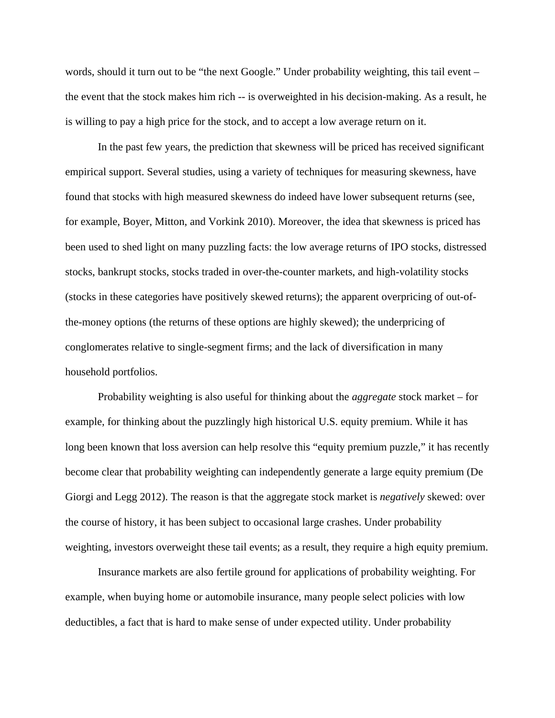words, should it turn out to be "the next Google." Under probability weighting, this tail event – the event that the stock makes him rich -- is overweighted in his decision-making. As a result, he is willing to pay a high price for the stock, and to accept a low average return on it.

In the past few years, the prediction that skewness will be priced has received significant empirical support. Several studies, using a variety of techniques for measuring skewness, have found that stocks with high measured skewness do indeed have lower subsequent returns (see, for example, Boyer, Mitton, and Vorkink 2010). Moreover, the idea that skewness is priced has been used to shed light on many puzzling facts: the low average returns of IPO stocks, distressed stocks, bankrupt stocks, stocks traded in over-the-counter markets, and high-volatility stocks (stocks in these categories have positively skewed returns); the apparent overpricing of out-ofthe-money options (the returns of these options are highly skewed); the underpricing of conglomerates relative to single-segment firms; and the lack of diversification in many household portfolios.

Probability weighting is also useful for thinking about the *aggregate* stock market – for example, for thinking about the puzzlingly high historical U.S. equity premium. While it has long been known that loss aversion can help resolve this "equity premium puzzle," it has recently become clear that probability weighting can independently generate a large equity premium (De Giorgi and Legg 2012). The reason is that the aggregate stock market is *negatively* skewed: over the course of history, it has been subject to occasional large crashes. Under probability weighting, investors overweight these tail events; as a result, they require a high equity premium.

Insurance markets are also fertile ground for applications of probability weighting. For example, when buying home or automobile insurance, many people select policies with low deductibles, a fact that is hard to make sense of under expected utility. Under probability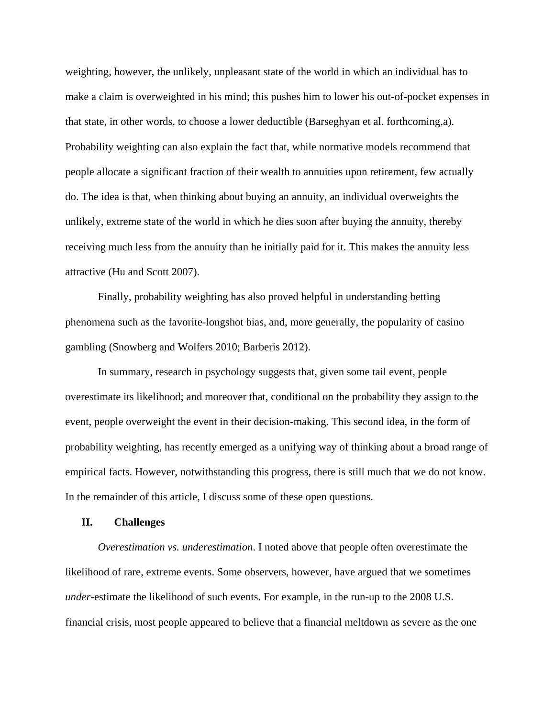weighting, however, the unlikely, unpleasant state of the world in which an individual has to make a claim is overweighted in his mind; this pushes him to lower his out-of-pocket expenses in that state, in other words, to choose a lower deductible (Barseghyan et al. forthcoming,a). Probability weighting can also explain the fact that, while normative models recommend that people allocate a significant fraction of their wealth to annuities upon retirement, few actually do. The idea is that, when thinking about buying an annuity, an individual overweights the unlikely, extreme state of the world in which he dies soon after buying the annuity, thereby receiving much less from the annuity than he initially paid for it. This makes the annuity less attractive (Hu and Scott 2007).

Finally, probability weighting has also proved helpful in understanding betting phenomena such as the favorite-longshot bias, and, more generally, the popularity of casino gambling (Snowberg and Wolfers 2010; Barberis 2012).

In summary, research in psychology suggests that, given some tail event, people overestimate its likelihood; and moreover that, conditional on the probability they assign to the event, people overweight the event in their decision-making. This second idea, in the form of probability weighting, has recently emerged as a unifying way of thinking about a broad range of empirical facts. However, notwithstanding this progress, there is still much that we do not know. In the remainder of this article, I discuss some of these open questions.

#### **II. Challenges**

*Overestimation vs. underestimation*. I noted above that people often overestimate the likelihood of rare, extreme events. Some observers, however, have argued that we sometimes *under*-estimate the likelihood of such events. For example, in the run-up to the 2008 U.S. financial crisis, most people appeared to believe that a financial meltdown as severe as the one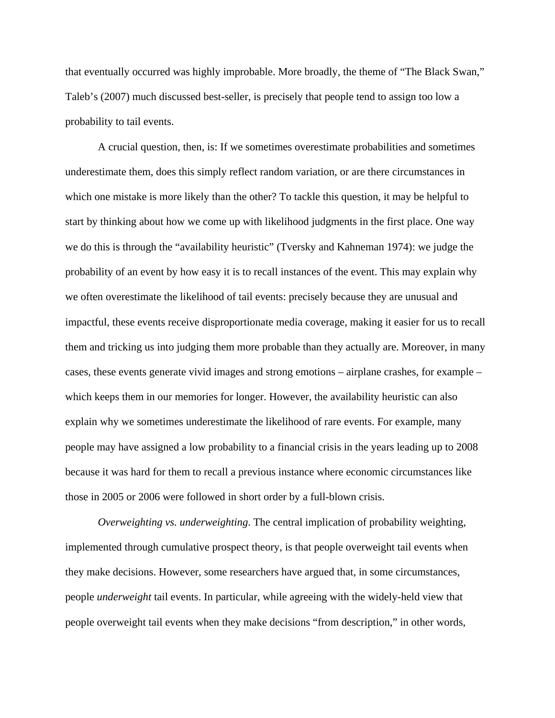that eventually occurred was highly improbable. More broadly, the theme of "The Black Swan," Taleb's (2007) much discussed best-seller, is precisely that people tend to assign too low a probability to tail events.

A crucial question, then, is: If we sometimes overestimate probabilities and sometimes underestimate them, does this simply reflect random variation, or are there circumstances in which one mistake is more likely than the other? To tackle this question, it may be helpful to start by thinking about how we come up with likelihood judgments in the first place. One way we do this is through the "availability heuristic" (Tversky and Kahneman 1974): we judge the probability of an event by how easy it is to recall instances of the event. This may explain why we often overestimate the likelihood of tail events: precisely because they are unusual and impactful, these events receive disproportionate media coverage, making it easier for us to recall them and tricking us into judging them more probable than they actually are. Moreover, in many cases, these events generate vivid images and strong emotions – airplane crashes, for example – which keeps them in our memories for longer. However, the availability heuristic can also explain why we sometimes underestimate the likelihood of rare events. For example, many people may have assigned a low probability to a financial crisis in the years leading up to 2008 because it was hard for them to recall a previous instance where economic circumstances like those in 2005 or 2006 were followed in short order by a full-blown crisis.

*Overweighting vs. underweighting*. The central implication of probability weighting, implemented through cumulative prospect theory, is that people overweight tail events when they make decisions. However, some researchers have argued that, in some circumstances, people *underweight* tail events. In particular, while agreeing with the widely-held view that people overweight tail events when they make decisions "from description," in other words,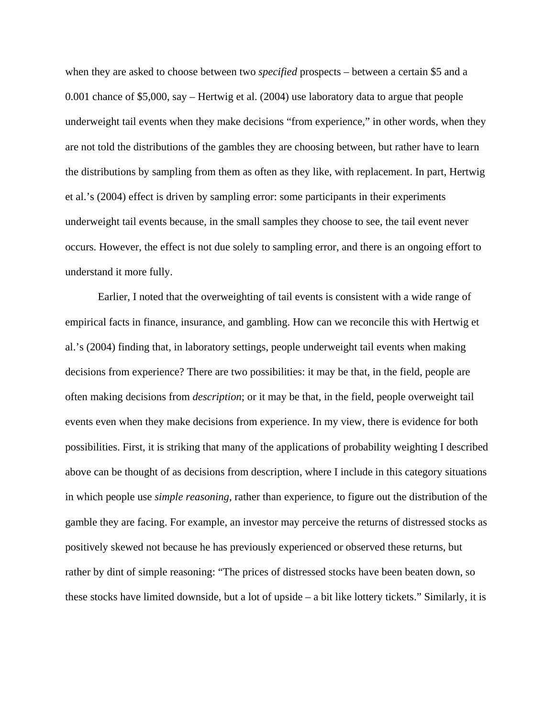when they are asked to choose between two *specified* prospects – between a certain \$5 and a 0.001 chance of \$5,000, say – Hertwig et al. (2004) use laboratory data to argue that people underweight tail events when they make decisions "from experience," in other words, when they are not told the distributions of the gambles they are choosing between, but rather have to learn the distributions by sampling from them as often as they like, with replacement. In part, Hertwig et al.'s (2004) effect is driven by sampling error: some participants in their experiments underweight tail events because, in the small samples they choose to see, the tail event never occurs. However, the effect is not due solely to sampling error, and there is an ongoing effort to understand it more fully.

Earlier, I noted that the overweighting of tail events is consistent with a wide range of empirical facts in finance, insurance, and gambling. How can we reconcile this with Hertwig et al.'s (2004) finding that, in laboratory settings, people underweight tail events when making decisions from experience? There are two possibilities: it may be that, in the field, people are often making decisions from *description*; or it may be that, in the field, people overweight tail events even when they make decisions from experience. In my view, there is evidence for both possibilities. First, it is striking that many of the applications of probability weighting I described above can be thought of as decisions from description, where I include in this category situations in which people use *simple reasoning*, rather than experience, to figure out the distribution of the gamble they are facing. For example, an investor may perceive the returns of distressed stocks as positively skewed not because he has previously experienced or observed these returns, but rather by dint of simple reasoning: "The prices of distressed stocks have been beaten down, so these stocks have limited downside, but a lot of upside – a bit like lottery tickets." Similarly, it is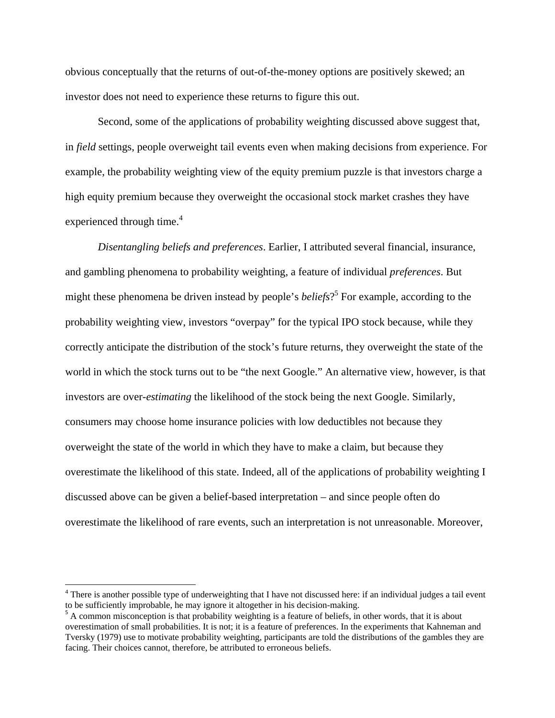obvious conceptually that the returns of out-of-the-money options are positively skewed; an investor does not need to experience these returns to figure this out.

Second, some of the applications of probability weighting discussed above suggest that, in *field* settings, people overweight tail events even when making decisions from experience. For example, the probability weighting view of the equity premium puzzle is that investors charge a high equity premium because they overweight the occasional stock market crashes they have experienced through time.<sup>4</sup>

*Disentangling beliefs and preferences*. Earlier, I attributed several financial, insurance, and gambling phenomena to probability weighting, a feature of individual *preferences*. But might these phenomena be driven instead by people's *beliefs*? 5 For example, according to the probability weighting view, investors "overpay" for the typical IPO stock because, while they correctly anticipate the distribution of the stock's future returns, they overweight the state of the world in which the stock turns out to be "the next Google." An alternative view, however, is that investors are over-*estimating* the likelihood of the stock being the next Google. Similarly, consumers may choose home insurance policies with low deductibles not because they overweight the state of the world in which they have to make a claim, but because they overestimate the likelihood of this state. Indeed, all of the applications of probability weighting I discussed above can be given a belief-based interpretation – and since people often do overestimate the likelihood of rare events, such an interpretation is not unreasonable. Moreover,

<sup>&</sup>lt;sup>4</sup> There is another possible type of underweighting that I have not discussed here: if an individual judges a tail event to be sufficiently improbable, he may ignore it altogether in his decision-making.

 $5$  A common misconception is that probability weighting is a feature of beliefs, in other words, that it is about overestimation of small probabilities. It is not; it is a feature of preferences. In the experiments that Kahneman and Tversky (1979) use to motivate probability weighting, participants are told the distributions of the gambles they are facing. Their choices cannot, therefore, be attributed to erroneous beliefs.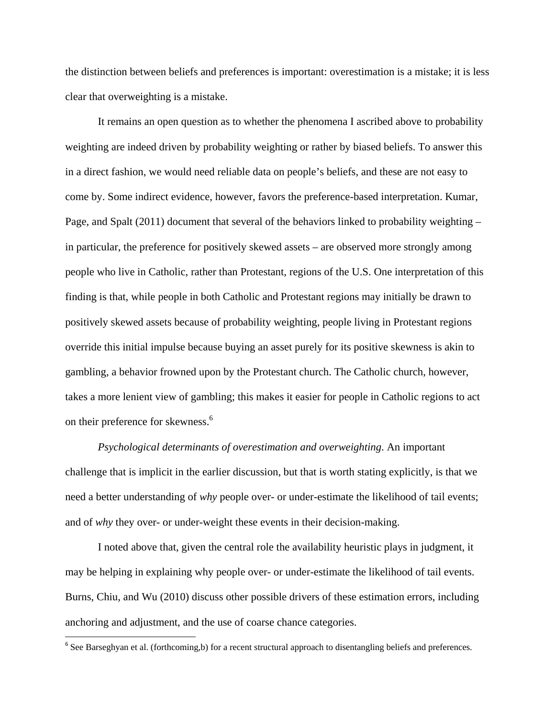the distinction between beliefs and preferences is important: overestimation is a mistake; it is less clear that overweighting is a mistake.

It remains an open question as to whether the phenomena I ascribed above to probability weighting are indeed driven by probability weighting or rather by biased beliefs. To answer this in a direct fashion, we would need reliable data on people's beliefs, and these are not easy to come by. Some indirect evidence, however, favors the preference-based interpretation. Kumar, Page, and Spalt (2011) document that several of the behaviors linked to probability weighting – in particular, the preference for positively skewed assets – are observed more strongly among people who live in Catholic, rather than Protestant, regions of the U.S. One interpretation of this finding is that, while people in both Catholic and Protestant regions may initially be drawn to positively skewed assets because of probability weighting, people living in Protestant regions override this initial impulse because buying an asset purely for its positive skewness is akin to gambling, a behavior frowned upon by the Protestant church. The Catholic church, however, takes a more lenient view of gambling; this makes it easier for people in Catholic regions to act on their preference for skewness.<sup>6</sup>

*Psychological determinants of overestimation and overweighting*. An important challenge that is implicit in the earlier discussion, but that is worth stating explicitly, is that we need a better understanding of *why* people over- or under-estimate the likelihood of tail events; and of *why* they over- or under-weight these events in their decision-making.

I noted above that, given the central role the availability heuristic plays in judgment, it may be helping in explaining why people over- or under-estimate the likelihood of tail events. Burns, Chiu, and Wu (2010) discuss other possible drivers of these estimation errors, including anchoring and adjustment, and the use of coarse chance categories.

 $6$  See Barseghyan et al. (forthcoming,b) for a recent structural approach to disentangling beliefs and preferences.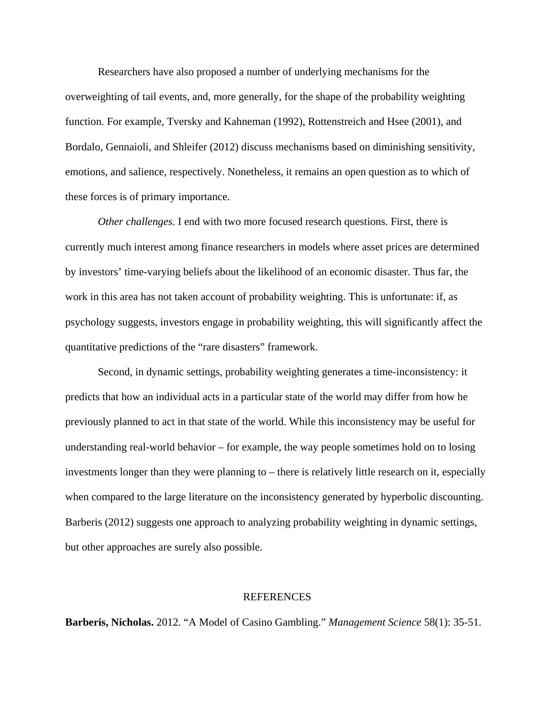Researchers have also proposed a number of underlying mechanisms for the overweighting of tail events, and, more generally, for the shape of the probability weighting function. For example, Tversky and Kahneman (1992), Rottenstreich and Hsee (2001), and Bordalo, Gennaioli, and Shleifer (2012) discuss mechanisms based on diminishing sensitivity, emotions, and salience, respectively. Nonetheless, it remains an open question as to which of these forces is of primary importance.

*Other challenges*. I end with two more focused research questions. First, there is currently much interest among finance researchers in models where asset prices are determined by investors' time-varying beliefs about the likelihood of an economic disaster. Thus far, the work in this area has not taken account of probability weighting. This is unfortunate: if, as psychology suggests, investors engage in probability weighting, this will significantly affect the quantitative predictions of the "rare disasters" framework.

Second, in dynamic settings, probability weighting generates a time-inconsistency: it predicts that how an individual acts in a particular state of the world may differ from how he previously planned to act in that state of the world. While this inconsistency may be useful for understanding real-world behavior – for example, the way people sometimes hold on to losing investments longer than they were planning to – there is relatively little research on it, especially when compared to the large literature on the inconsistency generated by hyperbolic discounting. Barberis (2012) suggests one approach to analyzing probability weighting in dynamic settings, but other approaches are surely also possible.

#### REFERENCES

**Barberis, Nicholas.** 2012. "A Model of Casino Gambling." *Management Science* 58(1): 35-51.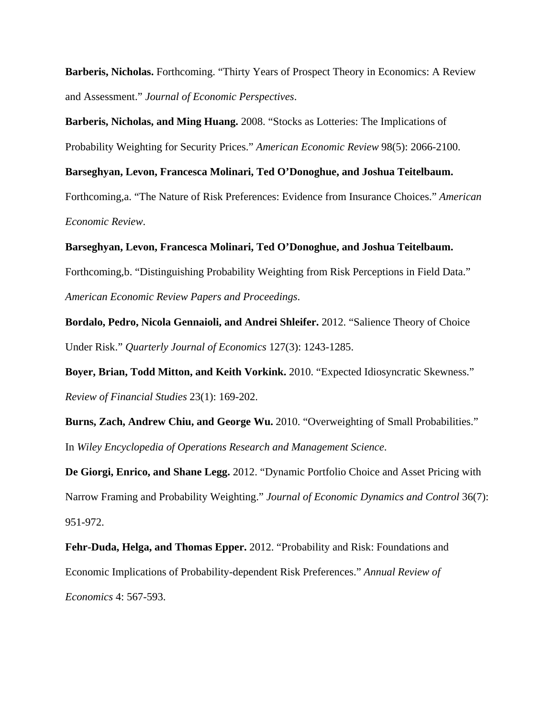**Barberis, Nicholas.** Forthcoming. "Thirty Years of Prospect Theory in Economics: A Review and Assessment." *Journal of Economic Perspectives*.

**Barberis, Nicholas, and Ming Huang.** 2008. "Stocks as Lotteries: The Implications of Probability Weighting for Security Prices." *American Economic Review* 98(5): 2066-2100.

**Barseghyan, Levon, Francesca Molinari, Ted O'Donoghue, and Joshua Teitelbaum.** Forthcoming,a. "The Nature of Risk Preferences: Evidence from Insurance Choices." *American Economic Review*.

**Barseghyan, Levon, Francesca Molinari, Ted O'Donoghue, and Joshua Teitelbaum.** Forthcoming,b. "Distinguishing Probability Weighting from Risk Perceptions in Field Data." *American Economic Review Papers and Proceedings*.

**Bordalo, Pedro, Nicola Gennaioli, and Andrei Shleifer.** 2012. "Salience Theory of Choice Under Risk." *Quarterly Journal of Economics* 127(3): 1243-1285.

**Boyer, Brian, Todd Mitton, and Keith Vorkink.** 2010. "Expected Idiosyncratic Skewness." *Review of Financial Studies* 23(1): 169-202.

**Burns, Zach, Andrew Chiu, and George Wu.** 2010. "Overweighting of Small Probabilities." In *Wiley Encyclopedia of Operations Research and Management Science*.

**De Giorgi, Enrico, and Shane Legg.** 2012. "Dynamic Portfolio Choice and Asset Pricing with Narrow Framing and Probability Weighting." *Journal of Economic Dynamics and Control* 36(7): 951-972.

**Fehr-Duda, Helga, and Thomas Epper.** 2012. "Probability and Risk: Foundations and Economic Implications of Probability-dependent Risk Preferences." *Annual Review of Economics* 4: 567-593.